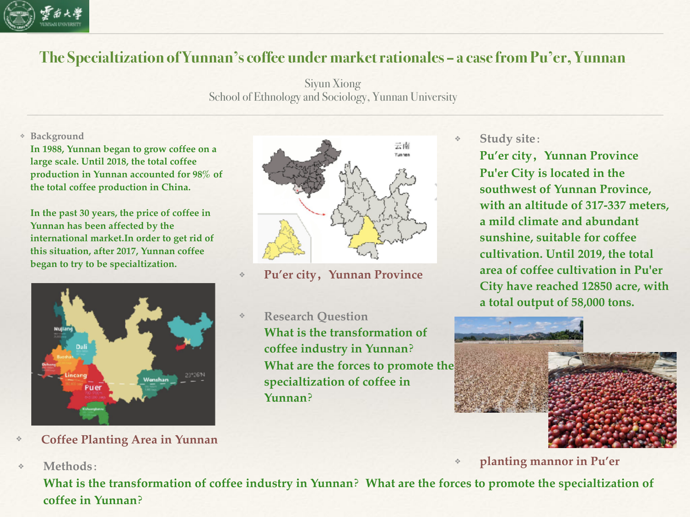

## **The Specialtization of Yunnan's coffee under market rationales – a case from Pu'er, Yunnan**

Siyun Xiong School of Ethnology and Sociology, Yunnan University

## ❖ **Background**

**In 1988, Yunnan began to grow coffee on a large scale. Until 2018, the total coffee production in Yunnan accounted for 98% of the total coffee production in China.**

**In the past 30 years, the price of coffee in Yunnan has been affected by the international market.In order to get rid of this situation, after 2017, Yunnan coffee began to try to be specialtization.**



❖ **Coffee Planting Area in Yunnan**

❖ **Methods:**

- 云南
- ❖ **Pu'er city,Yunnan Province**
- ❖ **Research Question What is the transformation of coffee industry in Yunnan? What are the forces to promote the specialtization of coffee in Yunnan?**

❖ **Study site:**

**Pu'er city,Yunnan Province Pu'er City is located in the southwest of Yunnan Province, with an altitude of 317-337 meters, a mild climate and abundant sunshine, suitable for coffee cultivation. Until 2019, the total area of coffee cultivation in Pu'er City have reached 12850 acre, with a total output of 58,000 tons.**



❖ **planting mannor in Pu'er**

**What is the transformation of coffee industry in Yunnan?What are the forces to promote the specialtization of coffee in Yunnan?**